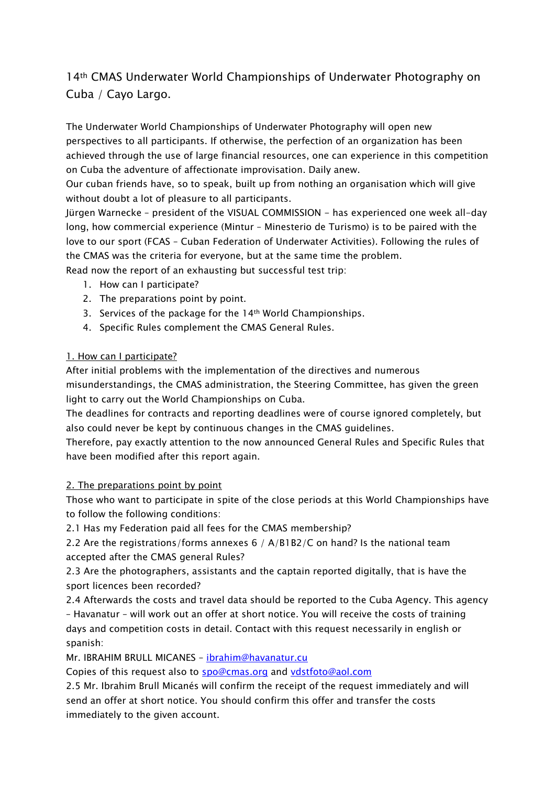## 14th CMAS Underwater World Championships of Underwater Photography on Cuba / Cayo Largo.

The Underwater World Championships of Underwater Photography will open new perspectives to all participants. If otherwise, the perfection of an organization has been achieved through the use of large financial resources, one can experience in this competition on Cuba the adventure of affectionate improvisation. Daily anew.

Our cuban friends have, so to speak, built up from nothing an organisation which will give without doubt a lot of pleasure to all participants.

Jürgen Warnecke – president of the VISUAL COMMISSION - has experienced one week all-day long, how commercial experience (Mintur – Minesterio de Turismo) is to be paired with the love to our sport (FCAS – Cuban Federation of Underwater Activities). Following the rules of the CMAS was the criteria for everyone, but at the same time the problem.

Read now the report of an exhausting but successful test trip:

- 1. How can I participate?
- 2. The preparations point by point.
- 3. Services of the package for the 14th World Championships.
- 4. Specific Rules complement the CMAS General Rules.

## 1. How can I participate?

After initial problems with the implementation of the directives and numerous misunderstandings, the CMAS administration, the Steering Committee, has given the green light to carry out the World Championships on Cuba.

The deadlines for contracts and reporting deadlines were of course ignored completely, but also could never be kept by continuous changes in the CMAS guidelines.

Therefore, pay exactly attention to the now announced General Rules and Specific Rules that have been modified after this report again.

## 2. The preparations point by point

Those who want to participate in spite of the close periods at this World Championships have to follow the following conditions:

2.1 Has my Federation paid all fees for the CMAS membership?

2.2 Are the registrations/forms annexes 6 / A/B1B2/C on hand? Is the national team accepted after the CMAS general Rules?

2.3 Are the photographers, assistants and the captain reported digitally, that is have the sport licences been recorded?

2.4 Afterwards the costs and travel data should be reported to the Cuba Agency. This agency – Havanatur – will work out an offer at short notice. You will receive the costs of training days and competition costs in detail. Contact with this request necessarily in english or spanish:

Mr. IBRAHIM BRULL MICANES - ibrahim@havanatur.cu

Copies of this request also to **spo@cmas.org** and vdstfoto@aol.com

2.5 Mr. Ibrahim Brull Micanés will confirm the receipt of the request immediately and will send an offer at short notice. You should confirm this offer and transfer the costs immediately to the given account.